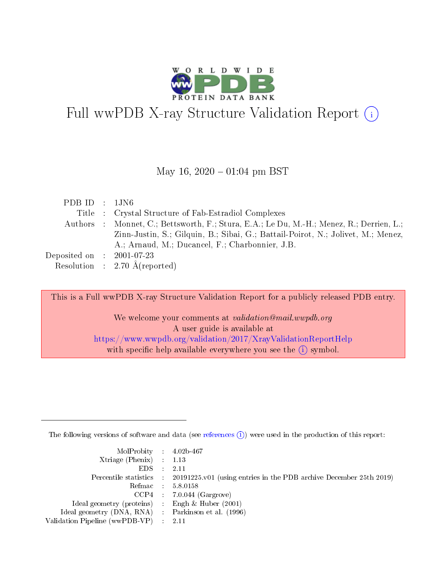

# Full wwPDB X-ray Structure Validation Report  $(i)$

#### May 16,  $2020 - 01:04$  pm BST

| PDB ID : $1JN6$                      |                                                                                          |
|--------------------------------------|------------------------------------------------------------------------------------------|
|                                      | Title : Crystal Structure of Fab-Estradiol Complexes                                     |
|                                      | Authors : Monnet, C.; Bettsworth, F.; Stura, E.A.; Le Du, M.-H.; Menez, R.; Derrien, L.; |
|                                      | Zinn-Justin, S.; Gilguin, B.; Sibai, G.; Battail-Poirot, N.; Jolivet, M.; Menez,         |
|                                      | A.; Arnaud, M.; Ducancel, F.; Charbonnier, J.B.                                          |
| Deposited on $\therefore$ 2001-07-23 |                                                                                          |
|                                      | Resolution : $2.70 \text{ Å}$ (reported)                                                 |

This is a Full wwPDB X-ray Structure Validation Report for a publicly released PDB entry.

We welcome your comments at validation@mail.wwpdb.org A user guide is available at <https://www.wwpdb.org/validation/2017/XrayValidationReportHelp> with specific help available everywhere you see the  $(i)$  symbol.

The following versions of software and data (see [references](https://www.wwpdb.org/validation/2017/XrayValidationReportHelp#references)  $(i)$ ) were used in the production of this report:

| $MolProbability$ 4.02b-467<br>Xtriage (Phenix) $: 1.13$ |                                                                                                     |
|---------------------------------------------------------|-----------------------------------------------------------------------------------------------------|
| $EDS$ :                                                 | -2.11<br>Percentile statistics : 20191225.v01 (using entries in the PDB archive December 25th 2019) |
|                                                         | Refmac : 5.8.0158                                                                                   |
|                                                         | $CCP4$ : 7.0.044 (Gargrove)                                                                         |
| Ideal geometry (proteins) : Engh $\&$ Huber (2001)      |                                                                                                     |
| Ideal geometry (DNA, RNA) : Parkinson et al. (1996)     |                                                                                                     |
| Validation Pipeline (wwPDB-VP) :                        | -2.11                                                                                               |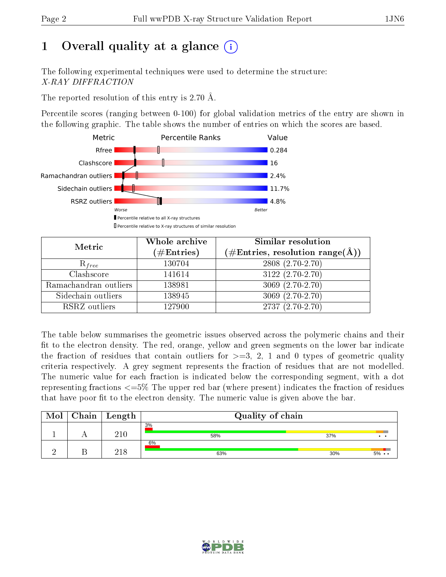# 1 [O](https://www.wwpdb.org/validation/2017/XrayValidationReportHelp#overall_quality)verall quality at a glance  $(i)$

The following experimental techniques were used to determine the structure: X-RAY DIFFRACTION

The reported resolution of this entry is 2.70 Å.

Percentile scores (ranging between 0-100) for global validation metrics of the entry are shown in the following graphic. The table shows the number of entries on which the scores are based.



| Metric                | Whole archive        | Similar resolution                                                     |
|-----------------------|----------------------|------------------------------------------------------------------------|
|                       | $(\#\text{Entries})$ | $(\#\text{Entries},\,\text{resolution}\,\,\text{range}(\textup{\AA}))$ |
| $R_{free}$            | 130704               | 2808 (2.70-2.70)                                                       |
| Clashscore            | 141614               | $3122(2.70-2.70)$                                                      |
| Ramachandran outliers | 138981               | $3069(2.70-2.70)$                                                      |
| Sidechain outliers    | 138945               | $3069(2.70-2.70)$                                                      |
| RSRZ outliers         | 127900               | $2737(2.70-2.70)$                                                      |

The table below summarises the geometric issues observed across the polymeric chains and their fit to the electron density. The red, orange, yellow and green segments on the lower bar indicate the fraction of residues that contain outliers for  $>=3, 2, 1$  and 0 types of geometric quality criteria respectively. A grey segment represents the fraction of residues that are not modelled. The numeric value for each fraction is indicated below the corresponding segment, with a dot representing fractions  $\epsilon=5\%$  The upper red bar (where present) indicates the fraction of residues that have poor fit to the electron density. The numeric value is given above the bar.

| Mol | Chain | Length | Quality of chain |                              |
|-----|-------|--------|------------------|------------------------------|
|     |       | 210    | 3%<br>58%        | 37%<br>$\bullet\quad\bullet$ |
|     |       | 218    | 6%<br>63%        | 30%<br>$5\% \cdot \cdot$     |

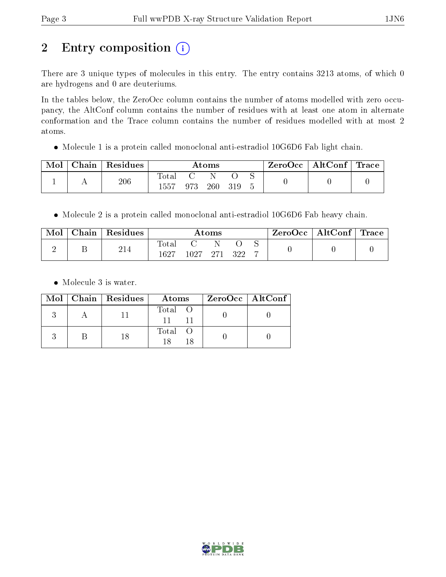# 2 Entry composition (i)

There are 3 unique types of molecules in this entry. The entry contains 3213 atoms, of which 0 are hydrogens and 0 are deuteriums.

In the tables below, the ZeroOcc column contains the number of atoms modelled with zero occupancy, the AltConf column contains the number of residues with at least one atom in alternate conformation and the Trace column contains the number of residues modelled with at most 2 atoms.

Molecule 1 is a protein called monoclonal anti-estradiol 10G6D6 Fab light chain.

| Mol | ${\rm Chain}$ | $\,$ Residues |               |     | $\rm{Atoms}$ |     |  | ZeroOcc   AltConf   Trace |  |
|-----|---------------|---------------|---------------|-----|--------------|-----|--|---------------------------|--|
|     |               | 206           | Tota.<br>1557 | 973 | 260          | 319 |  |                           |  |

• Molecule 2 is a protein called monoclonal anti-estradiol 10G6D6 Fab heavy chain.

| Mol | Chain | Residues |                     |          | Atoms |       | ZeroOcc | $\mid$ AltConf $\mid$ Trace $\mid$ |  |
|-----|-------|----------|---------------------|----------|-------|-------|---------|------------------------------------|--|
|     |       | 214      | $\rm Total$<br>1627 | 1027 271 |       | - 322 |         |                                    |  |

• Molecule 3 is water.

|  | Mol   Chain   Residues | Atoms   | ZeroOcc   AltConf |  |
|--|------------------------|---------|-------------------|--|
|  |                        | Total O |                   |  |
|  |                        | Total O |                   |  |

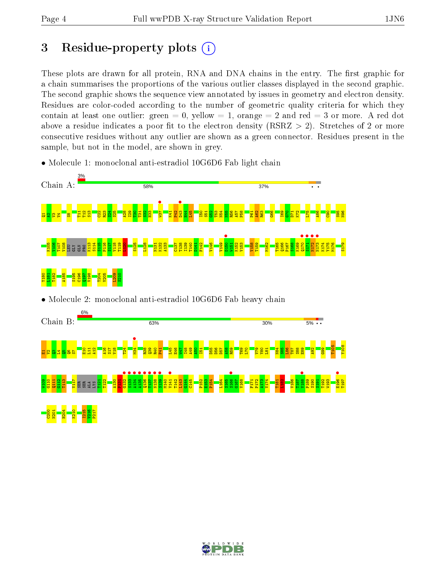C200 N201 H204 K210 I215 V216 P217

## 3 Residue-property plots  $(i)$

These plots are drawn for all protein, RNA and DNA chains in the entry. The first graphic for a chain summarises the proportions of the various outlier classes displayed in the second graphic. The second graphic shows the sequence view annotated by issues in geometry and electron density. Residues are color-coded according to the number of geometric quality criteria for which they contain at least one outlier: green  $= 0$ , yellow  $= 1$ , orange  $= 2$  and red  $= 3$  or more. A red dot above a residue indicates a poor fit to the electron density (RSRZ  $> 2$ ). Stretches of 2 or more consecutive residues without any outlier are shown as a green connector. Residues present in the sample, but not in the model, are shown in grey.



• Molecule 1: monoclonal anti-estradiol 10G6D6 Fab light chain



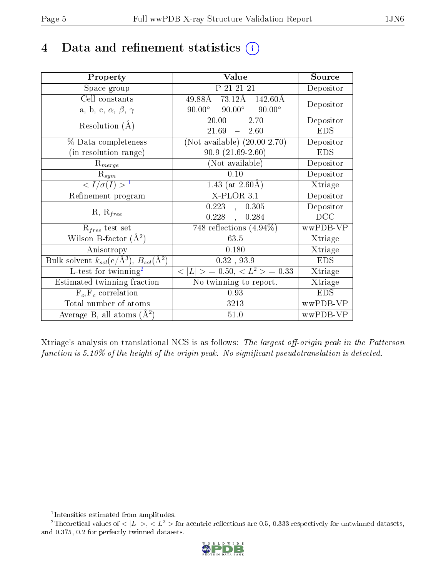## 4 Data and refinement statistics  $(i)$

| Property                                                             | Value                                                  | Source                       |
|----------------------------------------------------------------------|--------------------------------------------------------|------------------------------|
| Space group                                                          | P 21 21 21                                             | Depositor                    |
| Cell constants                                                       | $49.88\text{\AA}$ $73.12\text{\AA}$ $142.60\text{\AA}$ | Depositor                    |
| a, b, c, $\alpha$ , $\beta$ , $\gamma$                               | $90.00^{\circ}$ $90.00^{\circ}$<br>$90.00^\circ$       |                              |
| Resolution $(A)$                                                     | $20.00^{-}$<br>2.70<br>$\frac{1}{2}$                   | Depositor                    |
|                                                                      | 21.69<br>$-2.60$                                       | <b>EDS</b>                   |
| % Data completeness                                                  | (Not available) $(20.00-2.70)$                         | Depositor                    |
| (in resolution range)                                                | $90.9(21.69-2.60)$                                     | <b>EDS</b>                   |
| $R_{merge}$                                                          | (Not available)                                        | Depositor                    |
| $R_{sym}$                                                            | 0.10                                                   | Depositor                    |
| $\langle I/\sigma(I) \rangle^{-1}$                                   | 1.43 (at $2.60\text{\AA}$ )                            | Xtriage                      |
| Refinement program                                                   | $X-PLOR$ 3.1                                           | Depositor                    |
| $R, R_{free}$                                                        | 0.223,<br>0.305                                        | Depositor                    |
|                                                                      | $0.228$ ,<br>0.284                                     | DCC                          |
| $R_{free}$ test set                                                  | 748 reflections $(4.94\%)$                             | wwPDB-VP                     |
| Wilson B-factor $(A^2)$                                              | 63.5                                                   | Xtriage                      |
| Anisotropy                                                           | 0.180                                                  | Xtriage                      |
| Bulk solvent $k_{sol}(e/\mathring{A}^3)$ , $B_{sol}(\mathring{A}^2)$ | 0.32, 93.9                                             | <b>EDS</b>                   |
| L-test for twinning <sup>2</sup>                                     | $< L >$ = 0.50, $< L2$ > = 0.33                        | Xtriage                      |
| Estimated twinning fraction                                          | No twinning to report.                                 | $\overline{\text{X}}$ triage |
| $\overline{F_o}, \overline{F_c}$ correlation                         | 0.93                                                   | <b>EDS</b>                   |
| Total number of atoms                                                | 3213                                                   | wwPDB-VP                     |
| Average B, all atoms $(A^2)$                                         | 51.0                                                   | wwPDB-VP                     |

Xtriage's analysis on translational NCS is as follows: The largest off-origin peak in the Patterson function is  $5.10\%$  of the height of the origin peak. No significant pseudotranslation is detected.

<sup>&</sup>lt;sup>2</sup>Theoretical values of  $\langle |L| \rangle$ ,  $\langle L^2 \rangle$  for acentric reflections are 0.5, 0.333 respectively for untwinned datasets, and 0.375, 0.2 for perfectly twinned datasets.



<span id="page-4-1"></span><span id="page-4-0"></span><sup>1</sup> Intensities estimated from amplitudes.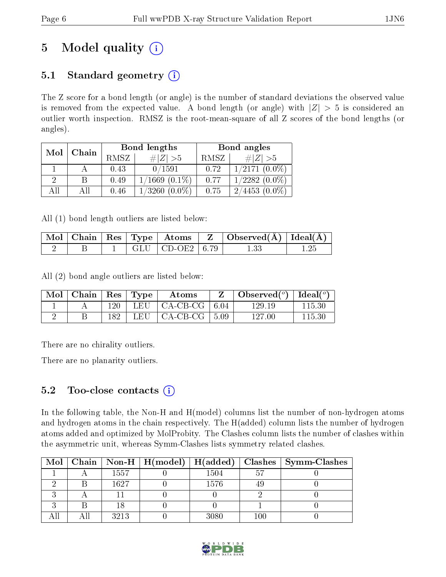# 5 Model quality  $(i)$

## 5.1 Standard geometry  $(i)$

The Z score for a bond length (or angle) is the number of standard deviations the observed value is removed from the expected value. A bond length (or angle) with  $|Z| > 5$  is considered an outlier worth inspection. RMSZ is the root-mean-square of all Z scores of the bond lengths (or angles).

| Mol  | Chain |      | Bond lengths       | Bond angles |                                     |  |
|------|-------|------|--------------------|-------------|-------------------------------------|--|
|      |       | RMSZ | $\# Z  > 5$        | RMSZ        | $\# Z  > 5$                         |  |
|      |       | 0.43 | 0/1591             | 0.72        | $1/2171~(0.0\%)$                    |  |
|      |       | 0.49 | $1/1669$ $(0.1\%)$ | 0.77        | $1/2282(0.0\%)$                     |  |
| Δ 11 |       | 0.46 | /3260<br>$(0.0\%)$ | 0.75        | $(0.0\%)$<br>4453<br>2 <sub>t</sub> |  |

All (1) bond length outliers are listed below:

|  |  |                                                                 | $\mid$ Mol $\mid$ Chain $\mid$ Res $\mid$ Type $\mid$ Atoms $\mid$ Z $\mid$ Observed(Å) $\mid$ Ideal(Å) $\mid$ |  |
|--|--|-----------------------------------------------------------------|----------------------------------------------------------------------------------------------------------------|--|
|  |  | $\parallel$ GLU $\parallel$ CD-OE2 $\parallel$ 6.79 $\parallel$ |                                                                                                                |  |

All (2) bond angle outliers are listed below:

| $\mid$ Mol $\mid$ Chain $\mid$ Res $\mid$ Type $\mid$ |      | Atoms                             | $\mid$ Observed $(^\circ)$   Ideal $(^\circ)$ |        |
|-------------------------------------------------------|------|-----------------------------------|-----------------------------------------------|--------|
|                                                       | 120  | LEU $\vert$ CA-CB-CG $\vert$ 6.04 | 129.19                                        | 115.30 |
|                                                       | 182. | LEU $\vert$ CA-CB-CG $\vert$ 5.09 | 127.00                                        | 115.30 |

There are no chirality outliers.

There are no planarity outliers.

### 5.2 Too-close contacts  $\overline{()}$

In the following table, the Non-H and H(model) columns list the number of non-hydrogen atoms and hydrogen atoms in the chain respectively. The H(added) column lists the number of hydrogen atoms added and optimized by MolProbity. The Clashes column lists the number of clashes within the asymmetric unit, whereas Symm-Clashes lists symmetry related clashes.

| $\bf{Mol}$ |      |      |         | Chain   Non-H   H(model)   H(added)   Clashes   Symm-Clashes |
|------------|------|------|---------|--------------------------------------------------------------|
|            | 1557 | 1504 | 'n.     |                                                              |
|            | 1627 | 1576 |         |                                                              |
|            |      |      |         |                                                              |
|            |      |      |         |                                                              |
|            | 3213 | 3080 | $100\,$ |                                                              |

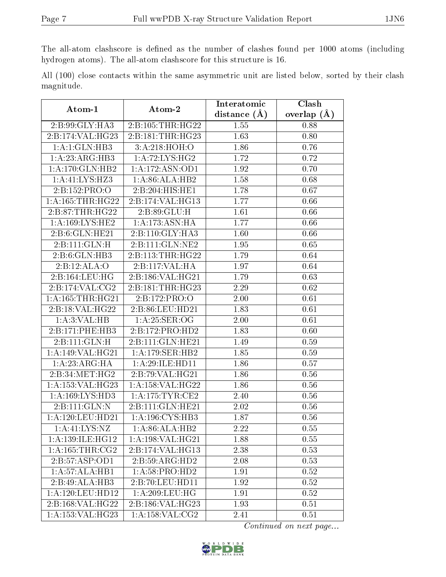The all-atom clashscore is defined as the number of clashes found per 1000 atoms (including hydrogen atoms). The all-atom clashscore for this structure is 16.

All (100) close contacts within the same asymmetric unit are listed below, sorted by their clash magnitude.

| Atom-1                                   | Atom-2              | Interatomic       | Clash         |
|------------------------------------------|---------------------|-------------------|---------------|
|                                          |                     | distance $(A)$    | overlap $(A)$ |
| 2:B:99:GLY:HA3                           | 2:B:105:THR:HG22    | 1.55              | 0.88          |
| $2:\overline{B}:174:\overline{VAL}:HG23$ | 2:B:181:THR:HG23    | 1.63              | 0.80          |
| 1:A:1:GLN:HB3                            | 3:A:218:HOH:O       | 1.86              | 0.76          |
| 1:A:23:ARG:HB3                           | 1:A:72:LYS:HG2      | 1.72              | 0.72          |
| 1: A:170: GLN: HB2                       | 1:A:172:ASN:OD1     | 1.92              | 0.70          |
| 1:A:41:LYS:HZ3                           | 1:A:86:ALA:HB2      | 1.58              | 0.68          |
| 2:B:152:PRO:O                            | 2:B:204:HIS:HE1     | 1.78              | 0.67          |
| 1: A: 165: THR: HG22                     | 2:B:174:VAL:HG13    | 1.77              | 0.66          |
| 2:B:87:THR:HG22                          | 2:B:89:GLU:H        | 1.61              | 0.66          |
| 1: A: 169: LYS: HE2                      | 1: A:173: ASN: HA   | 1.77              | 0.66          |
| 2:B:6:GLN:HE21                           | 2:B:110:GLY:HA3     | 1.60              | 0.66          |
| 2: B: 111: GLN: H                        | 2:B:111:GLN:NE2     | 1.95              | 0.65          |
| 2:B:6:GLN:HB3                            | 2:B:113:THR:HG22    | 1.79              | 0.64          |
| 2:B:12:ALA:O                             | 2:B:117:VAL:HA      | 1.97              | 0.64          |
| 2: B: 164: LEU: HG                       | 2:B:186:VAL:HG21    | 1.79              | 0.63          |
| 2:B:174:VAL:CG2                          | 2:B:181:THR:HG23    | 2.29              | 0.62          |
| 1: A: 165: THR: HG21                     | 2:B:172:PRO:O       | 2.00              | 0.61          |
| 2:B:18:VAL:HG22                          | 2:B:86:LEU:HD21     | 1.83              | 0.61          |
| 1: A:3: VAL: HB                          | 1: A:25: SER:OG     | 2.00              | 0.61          |
| 2:B:171:PHE:HB3                          | 2:B:172:PRO:HD2     | 1.83              | 0.60          |
| 2: B: 111: GLN: H                        | 2:B:111:GLN:HE21    | 1.49              | 0.59          |
| 1:A:149:VAL:HG21                         | 1:A:179:SER:HB2     | 1.85              | 0.59          |
| 1: A:23: ARG:HA                          | 1:A:29:ILE:HD11     | 1.86              | 0.57          |
| 2:B:34:MET:HG2                           | 2:B:79:VAL:HG21     | 1.86              | 0.56          |
| 1: A: 153: VAL: HG23                     | 1:A:158:VAL:HG22    | 1.86              | 0.56          |
| 1:A:169:LYS:HD3                          | 1:A:175:TYR:CE2     | 2.40              | 0.56          |
| 2:B:111:GLN:N                            | 2:B:111:GLN:HE21    | 2.02              | $0.56\,$      |
| 1:A:120:LEU:HD21                         | 1: A: 196: CYS: HB3 | 1.87              | 0.56          |
| $1:$ A:41:LYS:NZ                         | 1:A:86:ALA:HB2      | $\overline{2.22}$ | 0.55          |
| 1: A: 139: ILE: HG12                     | 1:A:198:VAL:HG21    | 1.88              | 0.55          |
| 1: A: 165: THR: CG2                      | 2:B:174:VAL:HG13    | 2.38              | 0.53          |
| 2:B:57:ASP:OD1                           | 2:B:59:ARG:HD2      | 2.08              | 0.53          |
| 1:A:57:ALA:HB1                           | 1: A:58: PRO:HD2    | 1.91              | 0.52          |
| 2:B:49:ALA:HB3                           | 2:B:70:LEU:HD11     | 1.92              | 0.52          |
| $1: A:120:$ LEU:HD12                     | $1:$ A:209:LEU:HG   | 1.91              | 0.52          |
| 2:B:168:VAL:HG22                         | 2:B:186:VAL:HG23    | 1.93              | 0.51          |
| 1:A:153:VAL:HG23                         | 1: A: 158: VAL: CG2 | 2.41              | 0.51          |

Continued on next page...

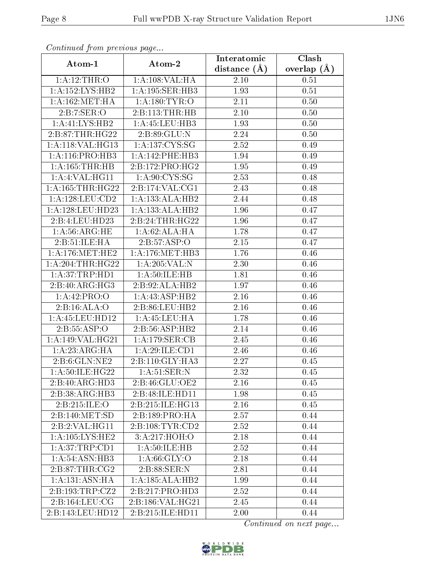| Comunaca jiom previous page          |                             | Interatomic       | Clash           |
|--------------------------------------|-----------------------------|-------------------|-----------------|
| Atom-1                               | Atom-2                      | distance $(A)$    | overlap $(\AA)$ |
| 1:A:12:THR:O                         | 1:A:108:VAL:HA              | $2.10\,$          | 0.51            |
| 1: A: 152: LYS: HB2                  | 1:A:195:SER:HB3             | 1.93              | 0.51            |
| 1: A: 162: MET: HA                   | 1: A: 180: TYR: O           | 2.11              | 0.50            |
| 2:B:7:SER:O                          | 2:B:113:THR:HB              | 2.10              | 0.50            |
| 1:A:41:LYS:HB2                       | 1:A:45:LEU:HB3              | 1.93              | 0.50            |
| 2:B:87:THR:HG22                      | 2:B:89:GLU:N                | 2.24              | 0.50            |
| 1:A:118:VAL:HG13                     | 1: A: 137: CYS: SG          | 2.52              | 0.49            |
| 1: A:116: PRO:HB3                    | 1:A:142:PHE:HB3             | 1.94              | 0.49            |
| 1:A:165:THR:HB                       | 2:B:172:PRO:HG2             | 1.95              | 0.49            |
| 1:A:4:VAL:HG11                       | 1: A:90: CYS:SG             | 2.53              | 0.48            |
| 1: A: 165: THR: HG22                 | 2:B:174:VAL:CG1             | 2.43              | 0.48            |
| 1: A: 128: LEU: CD2                  | 1:A:133:ALA:HB2             | 2.44              | 0.48            |
| $1:\overline{A}:128:\text{LEU}:HD23$ | 1:A:133:ALA:HB2             | 1.96              | 0.47            |
| 2:B:4:LEU:HD23                       | 2:B:24:THR:HG22             | 1.96              | 0.47            |
| 1: A:56: ARG: HE                     | 1:A:62:ALA:HA               | 1.78              | 0.47            |
| 2: B: 51: ILE: HA                    | 2:B:57:ASP:O                | 2.15              | 0.47            |
| 1: A:176:MET:HE2                     | 1:A:176:MET:HB3             | 1.76              | 0.46            |
| 1: A:204:THR:HG22                    | 1: A:205:VAL: N             | 2.30              | 0.46            |
| 1: A:37:TRP:HD1                      | 1:A:50:ILE:HB               | 1.81              | 0.46            |
| 2:B:40:ARG:HG3                       | 2:B:92:ALA:HB2              | 1.97              | 0.46            |
| 1:A:42:PRO:O                         | 1:A:43:ASP:HB2              | 2.16              | 0.46            |
| 2:B:16:ALA:O                         | $2:B:\overline{86:LEU:HB2}$ | 2.16              | 0.46            |
| 1: A: 45: LEU: HD12                  | 1: A: 45: LEU: HA           | 1.78              | 0.46            |
| 2: B: 55: ASP:O                      | 2:B:56:ASP:HB2              | 2.14              | 0.46            |
| 1:A:149:VAL:HG21                     | 1:A:179:SER:CB              | 2.45              | 0.46            |
| 1: A:23: ARG:HA                      | 1:A:29:ILE:CD1              | $\overline{2.46}$ | 0.46            |
| 2: B:6: GLN: NE2                     | 2:B:110:GLY:HA3             | 2.27              | 0.45            |
| $1: A:50: ILE:H\overline{G22}$       | 1: A:51:SER:N               | 2.32              | 0.45            |
| 2:B:40:ARG:HD3                       | 2:B:46:GLU:OE2              | 2.16              | 0.45            |
| 2:B:38:ARG:HB3                       | 2:B:48:ILE:HD11             | 1.98              | 0.45            |
| 2:B:215:ILE:O                        | 2:B:215:ILE:HG13            | 2.16              | 0.45            |
| 2:B:140:MET:SD                       | 2:B:189:PRO:HA              | 2.57              | 0.44            |
| 2:B:2:VAL:HG11                       | 2:B:108:TYR:CD2             | 2.52              | 0.44            |
| 1: A: 105: LYS: HE2                  | 3:A:217:HOH:O               | 2.18              | 0.44            |
| 1: A:37:TRP:CD1                      | 1: A:50: ILE: HB            | 2.52              | 0.44            |
| 1: A:54: ASN:HB3                     | 1: A:66: GLY:O              | 2.18              | 0.44            |
| 2: B:87:THR:CG2                      | 2:B:88:SER:N                | 2.81              | 0.44            |
| 1: A: 131: ASN: HA                   | 1:A:185:ALA:HB2             | 1.99              | 0.44            |
| 2: B: 193: TRP: CZ2                  | 2:B:217:PRO:HD3             | 2.52              | 0.44            |
| 2:B:164:LEU:CG                       | 2:B:186:VAL:HG21            | 2.45              | 0.44            |
| 2:B:143:LEU:HD12                     | 2:B:215:ILE:HD11            | 2.00              | 0.44            |

Continued from previous page.

Continued on next page...

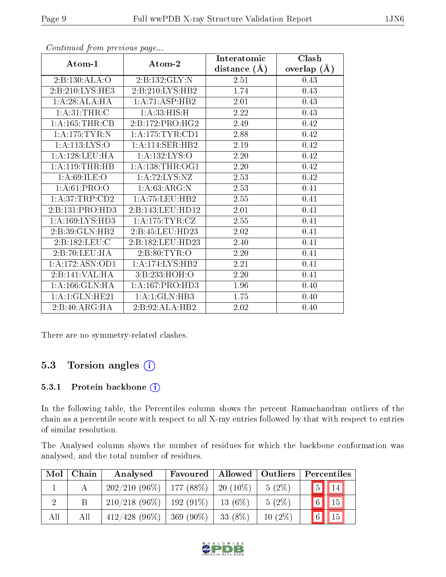|                     |                     | Interatomic    | Clash         |
|---------------------|---------------------|----------------|---------------|
| Atom-1              | Atom-2              | distance $(A)$ | overlap $(A)$ |
| 2:B:130:ALA:O       | 2:B:132:GLY:N       | 2.51           | 0.43          |
| 2: B:210: LYS: HE3  | 2:B:210:LYS:HB2     | 1.74           | 0.43          |
| 1:A:28:ALA:HA       | 1:A:71:ASP:HB2      | 2.01           | 0.43          |
| 1: A:31:THR:C       | 1: A:33:HIS:H       | 2.22           | 0.43          |
| 1:A:165:THR:CB      | 2:B:172:PRO:HG2     | 2.49           | 0.42          |
| 1:A:175:TYR:N       | 1: A:175:TYR:CD1    | 2.88           | 0.42          |
| 1: A:113: LYS:O     | 1: A:114: SER: HB2  | 2.19           | 0.42          |
| 1: A: 128: LEU: HA  | 1:A:132:LYS:O       | 2.20           | 0.42          |
| 1: A:119:THR:HB     | 1:A:138:THR:OG1     | 2.20           | 0.42          |
| 1: A:69:ILE:O       | 1: A:72: LYS: NZ    | 2.53           | 0.42          |
| 1: A:61: PRO:O      | 1:A:63:ARG:N        | 2.53           | 0.41          |
| 1: A:37:TRP:CD2     | 1: A: 75: LEU: HB2  | $2.55\,$       | 0.41          |
| 2:B:131:PRO:HD3     | 2:B:143:LEU:HD12    | 2.01           | 0.41          |
| 1: A: 169: LYS: HD3 | 1: A: 175: TYR: CZ  | 2.55           | 0.41          |
| 2:B:39:GLN:HB2      | 2:B:45:LEU:HD23     | 2.02           | 0.41          |
| 2:B:182:LEU:C       | 2:B:182:LEU:HD23    | 2.40           | 0.41          |
| 2:B:70:LEU:HA       | 2: B:80: TYR:O      | 2.20           | 0.41          |
| 1:A:172:ASN:OD1     | 1:A:174:LYS:HB2     | 2.21           | 0.41          |
| 2:B:141:VAL:HA      | 3:B:233:HOH:O       | 2.20           | 0.41          |
| 1: A: 166: GLN: HA  | 1: A: 167: PRO: HD3 | 1.96           | 0.40          |
| $1:$ A:1:GLN:HE21   | 1:A:1:GLN:HB3       | 1.75           | 0.40          |
| 2:B:40:ARG:HA       | 2:B:92:ALA:HB2      | 2.02           | 0.40          |

Continued from previous page...

There are no symmetry-related clashes.

### 5.3 Torsion angles (i)

#### 5.3.1 Protein backbone (i)

In the following table, the Percentiles column shows the percent Ramachandran outliers of the chain as a percentile score with respect to all X-ray entries followed by that with respect to entries of similar resolution.

The Analysed column shows the number of residues for which the backbone conformation was analysed, and the total number of residues.

| Mol | Chain | Analysed                                  | Favoured | Allowed   Outliers |           | Percentiles                |
|-----|-------|-------------------------------------------|----------|--------------------|-----------|----------------------------|
|     |       | $202/210$ (96\%)   177 (88\%)   20 (10\%) |          |                    | $5(2\%)$  | $\boxed{5}$<br>$\sqrt{14}$ |
|     |       | $210/218$ (96\%)   192 (91\%)             |          | $13(6\%)$          | $5(2\%)$  | $\sqrt{15}$<br>$\boxed{6}$ |
| All | All   | $412/428$ (96\%)   369 (90\%)             |          | 33 (8\%)           | $10(2\%)$ | $\boxed{6}$<br>$\sqrt{15}$ |

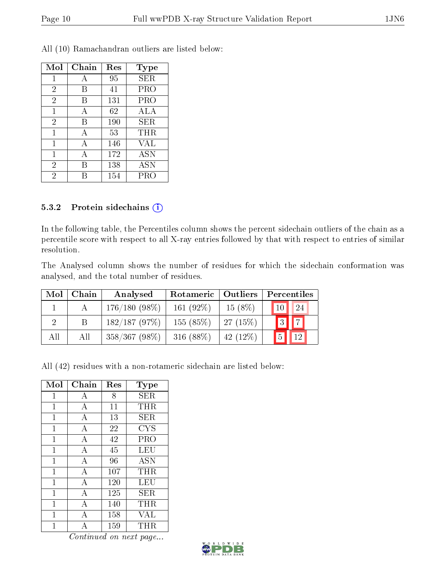| Mol            | Chain | Res | <b>Type</b> |
|----------------|-------|-----|-------------|
| 1              | А     | 95  | <b>SER</b>  |
| $\overline{2}$ | В     | 41  | PRO         |
| $\overline{2}$ | В     | 131 | PRO         |
| 1              | А     | 62  | ALA         |
| $\overline{2}$ | B     | 190 | SER         |
| 1              | А     | 53  | THR         |
| 1              | A     | 146 | VAL         |
| 1              | А     | 172 | <b>ASN</b>  |
| $\overline{2}$ | R     | 138 | <b>ASN</b>  |
| 2              |       | 154 | PRO         |

All (10) Ramachandran outliers are listed below:

#### 5.3.2 Protein sidechains (i)

In the following table, the Percentiles column shows the percent sidechain outliers of the chain as a percentile score with respect to all X-ray entries followed by that with respect to entries of similar resolution.

The Analysed column shows the number of residues for which the sidechain conformation was analysed, and the total number of residues.

| Mol | Chain | Analysed        | Rotameric   Outliers |            | Percentiles        |    |
|-----|-------|-----------------|----------------------|------------|--------------------|----|
|     |       | $176/180(98\%)$ | $161(92\%)$          | $15(8\%)$  | $\vert$ 10 $\vert$ | 24 |
|     |       | 182/187(97%)    | 155(85%)             | 27(15%)    | $3$ $\boxed{7}$    |    |
| All | All   | $358/367(98\%)$ | 316 $(88%)$          | $42(12\%)$ |                    | 12 |

All (42) residues with a non-rotameric sidechain are listed below:

| Mol          | Chain          | Res | $_{\rm Type}$ |
|--------------|----------------|-----|---------------|
| 1            | А              | 8   | SER           |
| $\mathbf{1}$ | А              | 11  | THR           |
| 1            | А              | 13  | SER           |
| 1            | А              | 22  | <b>CYS</b>    |
| 1            | А              | 42  | PRO           |
| 1            | А              | 45  | <b>LEU</b>    |
| 1            | А              | 96  | <b>ASN</b>    |
| $\mathbf{1}$ | А              | 107 | THR           |
| 1            | А              | 120 | LEU           |
| 1            | А              | 125 | SER           |
| 1            | $\overline{A}$ | 140 | THR           |
| 1            | А              | 158 | VAL           |
|              |                | 159 | THR           |

Continued on next page...

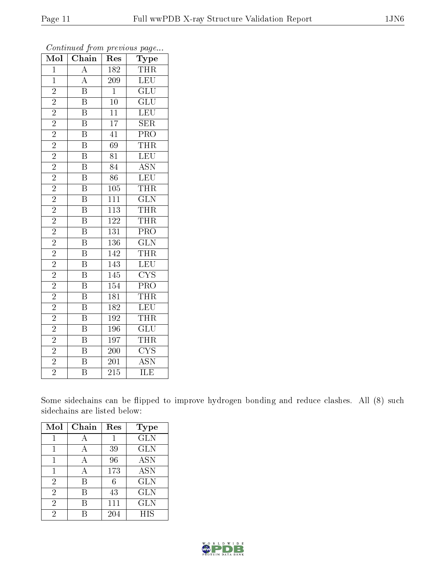| Mol            | $\overline{\text{Chain}}$ | Res              | Type                      |
|----------------|---------------------------|------------------|---------------------------|
| $\mathbf{1}$   | $\overline{A}$            | $\overline{182}$ | <b>THR</b>                |
| $\mathbf{1}$   | $\overline{A}$            | 209              | LEU                       |
| $\overline{2}$ | $\overline{\mathrm{B}}$   | $\mathbf{1}$     | $\overline{\text{GLU}}$   |
| $\overline{2}$ | $\overline{\mathrm{B}}$   | $10\,$           | $\overline{\text{GLU}}$   |
| $\overline{2}$ | $\overline{\mathrm{B}}$   | $\overline{11}$  | LEU                       |
| $\overline{2}$ | $\overline{\mathrm{B}}$   | $\overline{17}$  | $\overline{\text{SER}}$   |
| $\overline{2}$ | $\overline{\mathrm{B}}$   | $\overline{41}$  | PRO                       |
| $\overline{2}$ | $\overline{\mathrm{B}}$   | 69               | <b>THR</b>                |
| $\overline{2}$ | $\overline{\mathrm{B}}$   | $\overline{81}$  | LEU                       |
| $\overline{2}$ | $\overline{\mathrm{B}}$   | $\overline{84}$  | $\overline{\text{ASN}}$   |
| $\overline{2}$ | $\overline{\mathrm{B}}$   | $\overline{86}$  | LEU                       |
| $\overline{2}$ | $\overline{\mathrm{B}}$   | 105              | <b>THR</b>                |
| $\overline{2}$ | $\overline{\mathbf{B}}$   | 111              | $\overline{\text{GLN}}$   |
| $\overline{c}$ | $\, {\bf B}$              | 113              | <b>THR</b>                |
| $\overline{2}$ | $\overline{\mathrm{B}}$   | $\overline{122}$ | <b>THR</b>                |
| $\overline{2}$ | $\overline{\mathrm{B}}$   | 131              | $\overline{\text{PRO}}$   |
| $\overline{2}$ | $\overline{\mathrm{B}}$   | $\overline{136}$ | $\overline{\text{GLN}}$   |
| $\overline{2}$ | $\overline{\mathrm{B}}$   | 142              | THR                       |
| $\overline{2}$ | $\overline{\mathrm{B}}$   | 143              | LEU                       |
| $\overline{2}$ | $\overline{\text{B}}$     | $\overline{145}$ | $\overline{\text{CYS}}$   |
| $\overline{2}$ | $\overline{\mathrm{B}}$   | $\overline{154}$ | PRO                       |
| $\overline{2}$ | $\overline{\mathrm{B}}$   | 181              | <b>THR</b>                |
| $\overline{2}$ | $\overline{\mathrm{B}}$   | 182              | $\overline{\text{LEU}}$   |
| $\overline{2}$ | $\overline{\mathrm{B}}$   | 192              | <b>THR</b>                |
| $\overline{2}$ | $\overline{\mathbf{B}}$   | 196              | $\overline{\text{GLU}}$   |
| $\overline{2}$ | $\overline{\mathrm{B}}$   | 197              | THR                       |
| $\overline{2}$ | $\overline{\mathrm{B}}$   | $\overline{200}$ | $\overline{\text{CYS}}$   |
| $\overline{2}$ | $\overline{\mathrm{B}}$   | 201              | $\overline{\mathrm{ASN}}$ |
| $\overline{2}$ | $\overline{\mathrm{B}}$   | $\overline{215}$ | $\overline{\text{ILE}}$   |

Continued from previous page...

Some sidechains can be flipped to improve hydrogen bonding and reduce clashes. All (8) such sidechains are listed below:

| Mol            | Chain | Res | Type       |
|----------------|-------|-----|------------|
|                |       |     | <b>GLN</b> |
|                | А     | 39  | <b>GLN</b> |
|                | A     | 96  | <b>ASN</b> |
| 1              | А     | 173 | <b>ASN</b> |
| $\overline{2}$ | В     | 6   | <b>GLN</b> |
| $\overline{2}$ | В     | 43  | <b>GLN</b> |
| $\overline{2}$ | R     | 111 | <b>GLN</b> |
| $\overline{2}$ |       | 204 | <b>HIS</b> |

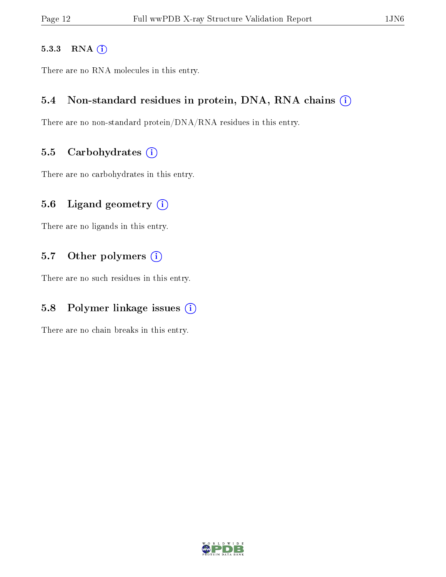#### 5.3.3 RNA [O](https://www.wwpdb.org/validation/2017/XrayValidationReportHelp#rna)i

There are no RNA molecules in this entry.

#### 5.4 Non-standard residues in protein, DNA, RNA chains (i)

There are no non-standard protein/DNA/RNA residues in this entry.

#### 5.5 Carbohydrates  $(i)$

There are no carbohydrates in this entry.

#### 5.6 Ligand geometry  $(i)$

There are no ligands in this entry.

#### 5.7 [O](https://www.wwpdb.org/validation/2017/XrayValidationReportHelp#nonstandard_residues_and_ligands)ther polymers (i)

There are no such residues in this entry.

### 5.8 Polymer linkage issues  $(i)$

There are no chain breaks in this entry.

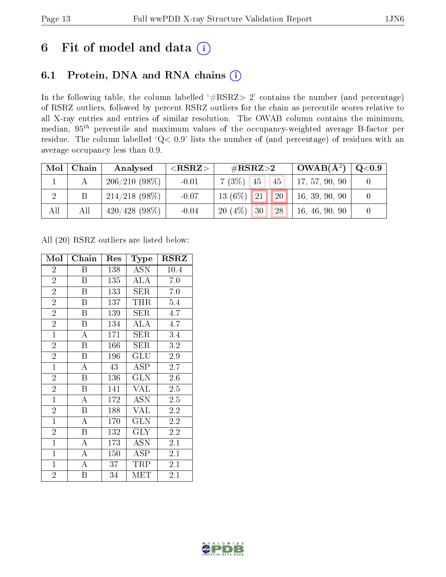## 6 Fit of model and data  $(i)$

### 6.1 Protein, DNA and RNA chains  $(i)$

In the following table, the column labelled  $#RSRZ> 2'$  contains the number (and percentage) of RSRZ outliers, followed by percent RSRZ outliers for the chain as percentile scores relative to all X-ray entries and entries of similar resolution. The OWAB column contains the minimum, median,  $95<sup>th</sup>$  percentile and maximum values of the occupancy-weighted average B-factor per residue. The column labelled ' $Q< 0.9$ ' lists the number of (and percentage) of residues with an average occupancy less than 0.9.

| Mol | Chain | Analysed         | ${ <\hspace{-1.5pt}{\mathrm{RSRZ}} \hspace{-1.5pt}>}$ | $\rm \#RSRZ{>}2$             | $OWAB(A^2)$    | $\rm Q\textcolor{black}{<}0.9$ |
|-----|-------|------------------|-------------------------------------------------------|------------------------------|----------------|--------------------------------|
|     |       | 206/210(98%)     | $-0.01$                                               | $7(3\%)$ 45<br>45            | 17, 57, 90, 90 |                                |
|     | Β     | $214/218$ (98\%) | $-0.07$                                               | $\sqrt{20}$<br>$13(6\%)$ 21  | 16, 39, 90, 90 |                                |
| All | All   | $420/428$ (98\%) | $-0.04$                                               | $20(4\%)$<br><b>28</b><br>30 | 16, 46, 90, 90 |                                |

All (20) RSRZ outliers are listed below:

| Mol            | Chain                   | Res | Type                 | <b>RSRZ</b> |
|----------------|-------------------------|-----|----------------------|-------------|
| $\overline{2}$ | B                       | 138 | <b>ASN</b>           | 10.4        |
| $\overline{2}$ | B                       | 135 | <b>ALA</b>           | 7.0         |
| $\overline{2}$ | B                       | 133 | SER                  | 7.0         |
| $\overline{2}$ | B                       | 137 | THR                  | 5.4         |
| $\overline{2}$ | $\boldsymbol{B}$        | 139 | <b>SER</b>           | 4.7         |
| $\overline{2}$ | B                       | 134 | <b>ALA</b>           | 4.7         |
| $\mathbf{1}$   | A                       | 171 | SER                  | 3.4         |
| $\overline{2}$ | $\overline{B}$          | 166 | SER                  | 3.2         |
| $\overline{2}$ | B                       | 196 | GLU                  | 2.9         |
| $\mathbf{1}$   | A                       | 43  | ASP                  | 2.7         |
| $\overline{2}$ | B                       | 136 | GLN                  | $2.6\,$     |
| $\overline{2}$ | $\overline{\mathrm{B}}$ | 141 | <b>VAL</b>           | 2.5         |
| $\overline{1}$ | $\overline{A}$          | 172 | <b>ASN</b>           | 2.5         |
| $\overline{2}$ | $\boldsymbol{B}$        | 188 | <b>VAL</b>           | 2.2         |
| $\overline{1}$ | A                       | 170 | <b>GLN</b>           | 2.2         |
| $\overline{2}$ | $\boldsymbol{B}$        | 132 | <b>GLY</b>           | $2.2\,$     |
| $\overline{1}$ | $\overline{\rm A}$      | 173 | <b>ASN</b>           | 2.1         |
| $\mathbf{1}$   | $\bf{A}$                | 150 | ĀSP                  | 2.1         |
| $\mathbf{1}$   | A                       | 37  | TRP                  | 2.1         |
| $\overline{2}$ | Β                       | 34  | $\operatorname{MET}$ | 2.1         |